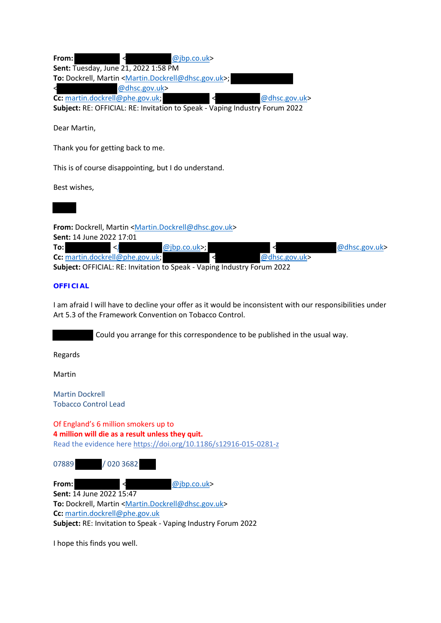| From: |                                 |                                                                                   | @jbp.co.uk> |                                                                             |               |
|-------|---------------------------------|-----------------------------------------------------------------------------------|-------------|-----------------------------------------------------------------------------|---------------|
|       |                                 | Sent: Tuesday, June 21, 2022 1:58 PM                                              |             |                                                                             |               |
|       |                                 | To: Dockrell, Martin <martin.dockrell@dhsc.gov.uk>;</martin.dockrell@dhsc.gov.uk> |             |                                                                             |               |
| ◀     |                                 | @dhsc.gov.uk>                                                                     |             |                                                                             |               |
|       | Cc: martin.dockrell@phe.gov.uk; |                                                                                   |             | ≺                                                                           | @dhsc.gov.uk> |
|       |                                 |                                                                                   |             | Subject: RE: OFFICIAL: RE: Invitation to Speak - Vaping Industry Forum 2022 |               |

Dear Martin,

Thank you for getting back to me.

This is of course disappointing, but I do understand.

Best wishes,



**From:** Dockrell, Martin <Martin.Dockrell@dhsc.gov.uk>

**Sent:** 14 June 2022 17:01

|  |                                 | $@ibp.co.uk$ ; |  |  |                  | $@$ dhsc.gov.uk> |
|--|---------------------------------|----------------|--|--|------------------|------------------|
|  | Cc: martin.dockrell@phe.gov.uk; |                |  |  | $@$ dhsc.gov.uk> |                  |
|  |                                 |                |  |  | ----             |                  |

**Subject:** OFFICIAL: RE: Invitation to Speak - Vaping Industry Forum 2022

## **OFFICIAL**

I am afraid I will have to decline your offer as it would be inconsistent with our responsibilities under Art 5.3 of the Framework Convention on Tobacco Control.

Could you arrange for this correspondence to be published in the usual way.

Regards

Martin

Martin Dockrell Tobacco Control Lead

Of England's 6 million smokers up to **4 million will die as a result unless they quit.** Read the evidence here https://doi.org/10.1186/s12916-015-0281-z

| 07889 | / 020 3682                      |                                                                                             |
|-------|---------------------------------|---------------------------------------------------------------------------------------------|
| From: |                                 | @ibp.co.uk>                                                                                 |
|       | <b>Sent: 14 June 2022 15:47</b> |                                                                                             |
|       |                                 | <b>To:</b> Dockrell, Martin <martin.dockrell@dhsc.gov.< td=""></martin.dockrell@dhsc.gov.<> |

**To:** Dockrell, Martin <Martin.Dockrell@dhsc.gov.uk> **Cc:** martin.dockrell@phe.gov.uk **Subject:** RE: Invitation to Speak - Vaping Industry Forum 2022

I hope this finds you well.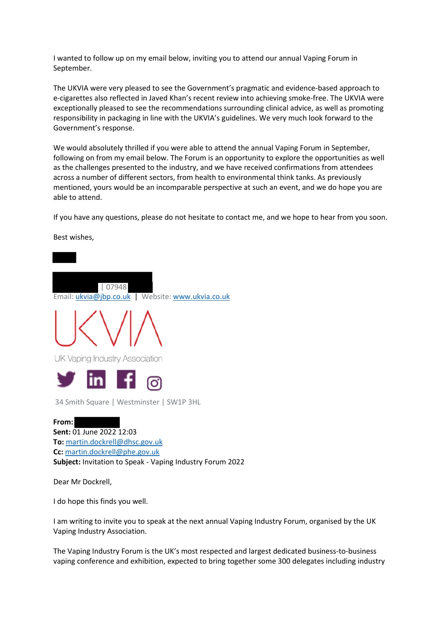I wanted to follow up on my email below, inviting you to attend our annual Vaping Forum in September.

The UKVIA were very pleased to see the Government's pragmatic and evidence-based approach to e-cigarettes also reflected in Javed Khan's recent review into achieving smoke-free. The UKVIA were exceptionally pleased to see the recommendations surrounding clinical advice, as well as promoting responsibility in packaging in line with the UKVIA's guidelines. We very much look forward to the Government's response.

We would absolutely thrilled if you were able to attend the annual Vaping Forum in September, following on from my email below. The Forum is an opportunity to explore the opportunities as well as the challenges presented to the industry, and we have received confirmations from attendees across a number of different sectors, from health to environmental think tanks. As previously mentioned, yours would be an incomparable perspective at such an event, and we do hope you are able to attend.

If you have any questions, please do not hesitate to contact me, and we hope to hear from you soon.



I am writing to invite you to speak at the next annual Vaping Industry Forum, organised by the UK Vaping Industry Association.

The Vaping Industry Forum is the UK's most respected and largest dedicated business-to-business vaping conference and exhibition, expected to bring together some 300 delegates including industry